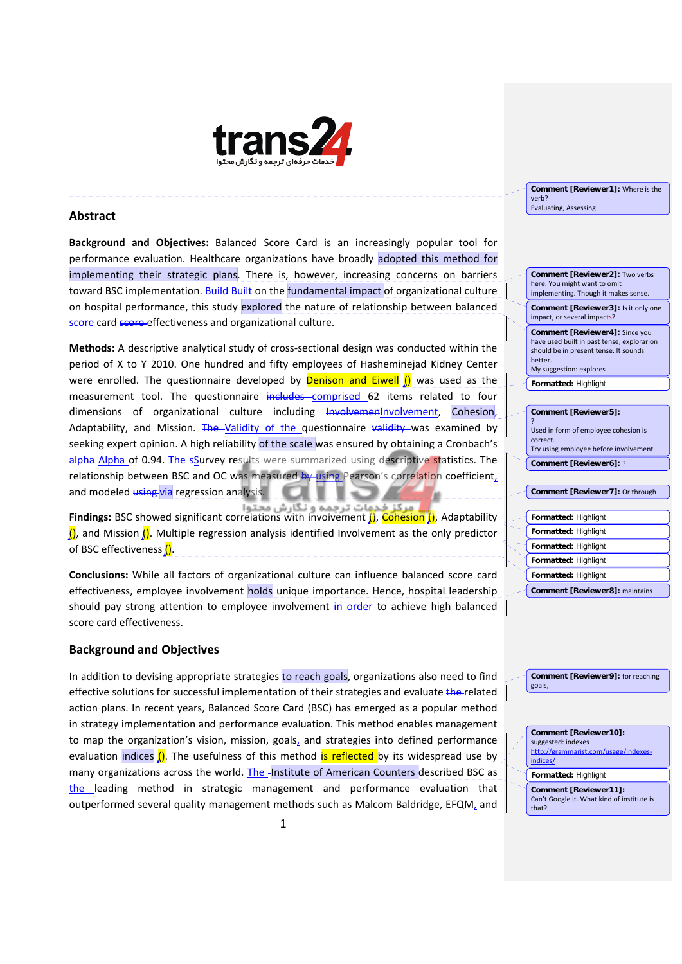

## **Abstract**

**Background and Objectives:** Balanced Score Card is an increasingly popular tool for performance evaluation. Healthcare organizations have broadly adopted this method for implementing their strategic plans. There is, however, increasing concerns on barriers toward BSC implementation. Build Built on the fundamental impact of organizational culture on hospital performance, this study explored the nature of relationship between balanced score card score effectiveness and organizational culture.

**Methods:** A descriptive analytical study of cross-sectional design was conducted within the period of X to Y 2010. One hundred and fifty employees of Hasheminejad Kidney Center were enrolled. The questionnaire developed by **Denison and Eiwell ()** was used as the measurement tool. The questionnaire includes-comprised 62 items related to four dimensions of organizational culture including InvolvemenInvolvement, Cohesion, Adaptability, and Mission. The Validity of the questionnaire validity was examined by seeking expert opinion. A high reliability of the scale was ensured by obtaining a Cronbach's alpha Alpha of 0.94. The sSurvey results were summarized using descriptive statistics. The relationship between BSC and OC was measured by using Pearson's correlation coefficient, and modeled *using via* regression analysi

**Findings:** BSC showed significant correlations with Involvement (), Cohesion (), Adaptability  $\langle \mathbf{l} \rangle$ , and Mission  $\langle \mathbf{l} \rangle$ . Multiple regression analysis identified Involvement as the only predictor of BSC effectiveness  $\int$ .

**Conclusions:** While all factors of organizational culture can influence balanced score card effectiveness, employee involvement holds unique importance. Hence, hospital leadership should pay strong attention to employee involvement in order to achieve high balanced score card effectiveness.

## **Background and Objectives**

In addition to devising appropriate strategies to reach goals, organizations also need to find effective solutions for successful implementation of their strategies and evaluate the related action plans. In recent years, Balanced Score Card (BSC) has emerged as a popular method in strategy implementation and performance evaluation. This method enables management to map the organization's vision, mission, goals, and strategies into defined performance evaluation indices  $\left($ ). The usefulness of this method is reflected by its widespread use by many organizations across the world. The  $\frac{1}{2}$ nstitute of American Counters described BSC as the leading method in strategic management and performance evaluation that outperformed several quality management methods such as Malcom Baldridge, EFQM, and

**Comment [Reviewer1]:** Where is the verb? Evaluating, Assessing

**Comment [Reviewer2]:** Two verbs here. You might want to omit implementing. Though it makes sense. **Comment [Reviewer3]:** Is it only one impact, or several impacts? **Comment [Reviewer4]:** Since you

have used built in past tense, explorarion should be in present tense. It sounds better. My suggestion: explores

**Formatted:** Highlight

| Comment [Reviewer5]:                   |
|----------------------------------------|
| ?                                      |
| Used in form of employee cohesion is   |
| correct.                               |
| Try using employee before involvement. |
| Comment [Reviewer6]: ?                 |
|                                        |
| Comment [Reviewer7]: Or through        |
|                                        |
| Formatted: Highlight                   |
| <b>Formatted: Highlight</b>            |
| <b>Formatted: Highlight</b>            |
| <b>Formatted: Highlight</b>            |
| Formatted: Highlight                   |

**Comment [Reviewer8]:** maintains

**Comment [Reviewer9]:** for reaching goals,